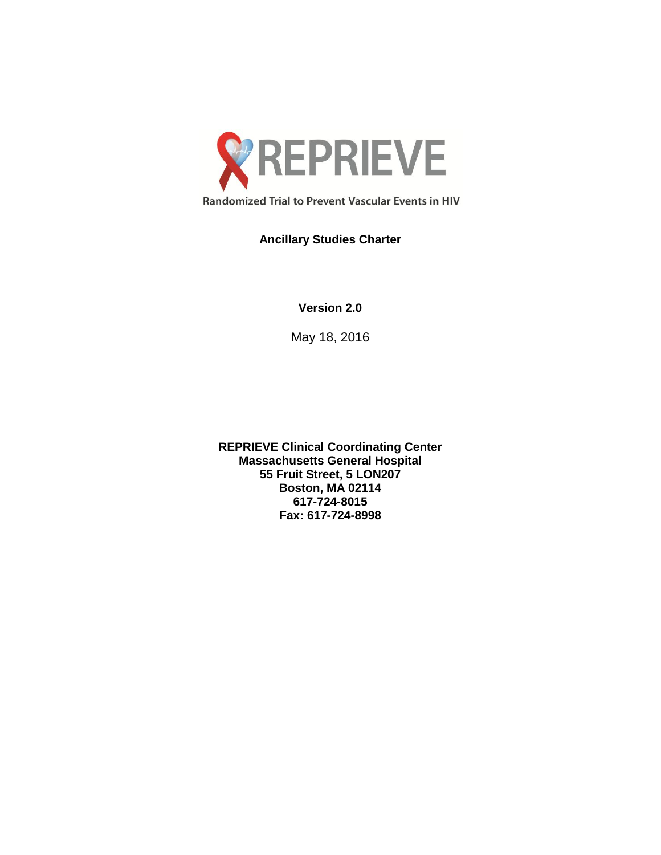

# **Ancillary Studies Charter**

**Version 2.0**

May 18, 2016

**REPRIEVE Clinical Coordinating Center Massachusetts General Hospital 55 Fruit Street, 5 LON207 Boston, MA 02114 617-724-8015 Fax: 617-724-8998**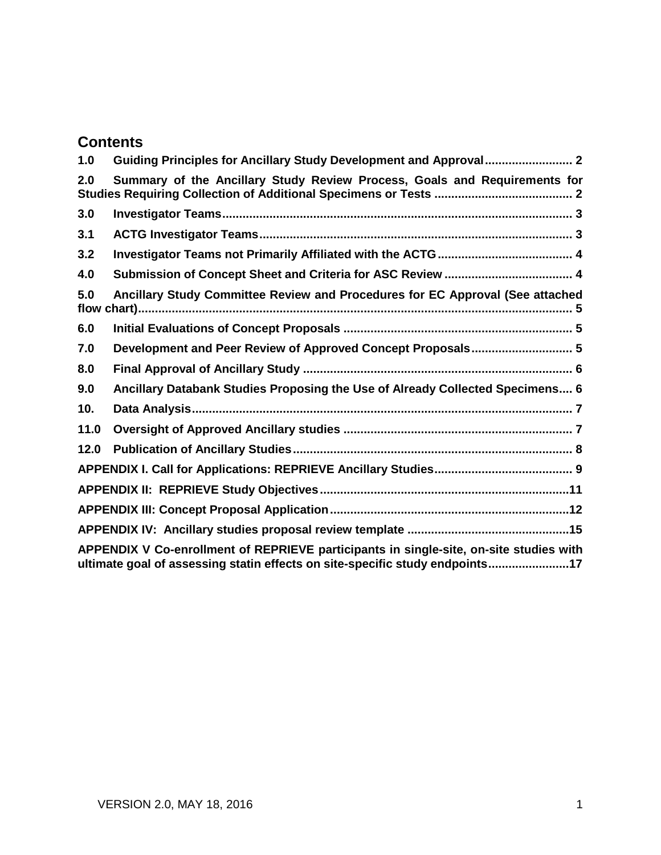# **Contents**

<span id="page-1-0"></span>

| 1.0                                                                                                                                                                    |                                                                               |  |  |
|------------------------------------------------------------------------------------------------------------------------------------------------------------------------|-------------------------------------------------------------------------------|--|--|
| 2.0                                                                                                                                                                    | Summary of the Ancillary Study Review Process, Goals and Requirements for     |  |  |
| 3.0                                                                                                                                                                    |                                                                               |  |  |
| 3.1                                                                                                                                                                    |                                                                               |  |  |
| 3.2                                                                                                                                                                    |                                                                               |  |  |
| 4.0                                                                                                                                                                    |                                                                               |  |  |
| 5.0                                                                                                                                                                    | Ancillary Study Committee Review and Procedures for EC Approval (See attached |  |  |
| 6.0                                                                                                                                                                    |                                                                               |  |  |
| 7.0                                                                                                                                                                    | Development and Peer Review of Approved Concept Proposals 5                   |  |  |
| 8.0                                                                                                                                                                    |                                                                               |  |  |
| 9.0                                                                                                                                                                    | Ancillary Databank Studies Proposing the Use of Already Collected Specimens 6 |  |  |
| 10.                                                                                                                                                                    |                                                                               |  |  |
| 11.0                                                                                                                                                                   |                                                                               |  |  |
| 12.0                                                                                                                                                                   |                                                                               |  |  |
|                                                                                                                                                                        |                                                                               |  |  |
|                                                                                                                                                                        |                                                                               |  |  |
|                                                                                                                                                                        |                                                                               |  |  |
|                                                                                                                                                                        |                                                                               |  |  |
| APPENDIX V Co-enrollment of REPRIEVE participants in single-site, on-site studies with<br>ultimate goal of assessing statin effects on site-specific study endpoints17 |                                                                               |  |  |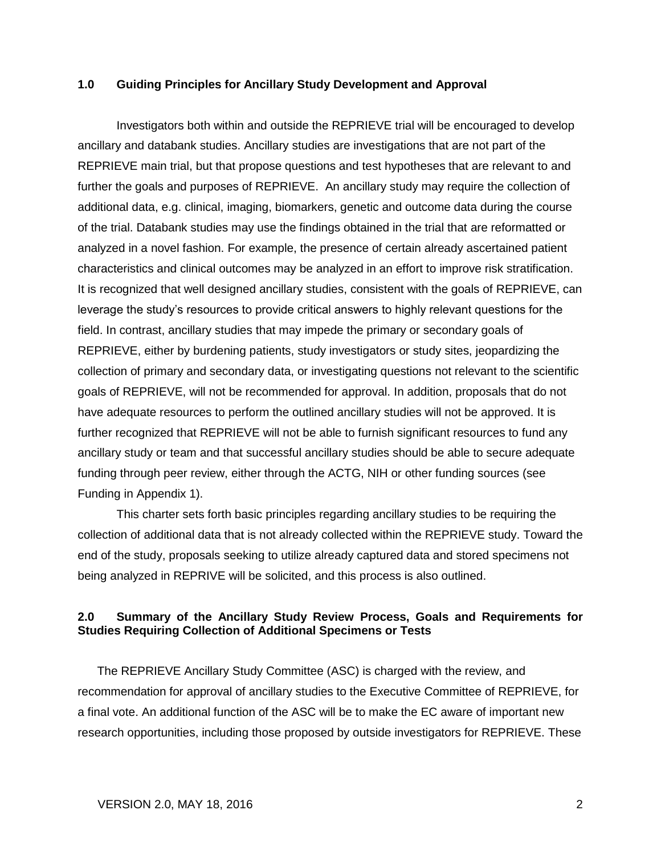#### **1.0 Guiding Principles for Ancillary Study Development and Approval**

Investigators both within and outside the REPRIEVE trial will be encouraged to develop ancillary and databank studies. Ancillary studies are investigations that are not part of the REPRIEVE main trial, but that propose questions and test hypotheses that are relevant to and further the goals and purposes of REPRIEVE. An ancillary study may require the collection of additional data, e.g. clinical, imaging, biomarkers, genetic and outcome data during the course of the trial. Databank studies may use the findings obtained in the trial that are reformatted or analyzed in a novel fashion. For example, the presence of certain already ascertained patient characteristics and clinical outcomes may be analyzed in an effort to improve risk stratification. It is recognized that well designed ancillary studies, consistent with the goals of REPRIEVE, can leverage the study's resources to provide critical answers to highly relevant questions for the field. In contrast, ancillary studies that may impede the primary or secondary goals of REPRIEVE, either by burdening patients, study investigators or study sites, jeopardizing the collection of primary and secondary data, or investigating questions not relevant to the scientific goals of REPRIEVE, will not be recommended for approval. In addition, proposals that do not have adequate resources to perform the outlined ancillary studies will not be approved. It is further recognized that REPRIEVE will not be able to furnish significant resources to fund any ancillary study or team and that successful ancillary studies should be able to secure adequate funding through peer review, either through the ACTG, NIH or other funding sources (see Funding in Appendix 1).

This charter sets forth basic principles regarding ancillary studies to be requiring the collection of additional data that is not already collected within the REPRIEVE study. Toward the end of the study, proposals seeking to utilize already captured data and stored specimens not being analyzed in REPRIVE will be solicited, and this process is also outlined.

## <span id="page-2-0"></span>**2.0 Summary of the Ancillary Study Review Process, Goals and Requirements for Studies Requiring Collection of Additional Specimens or Tests**

The REPRIEVE Ancillary Study Committee (ASC) is charged with the review, and recommendation for approval of ancillary studies to the Executive Committee of REPRIEVE, for a final vote. An additional function of the ASC will be to make the EC aware of important new research opportunities, including those proposed by outside investigators for REPRIEVE. These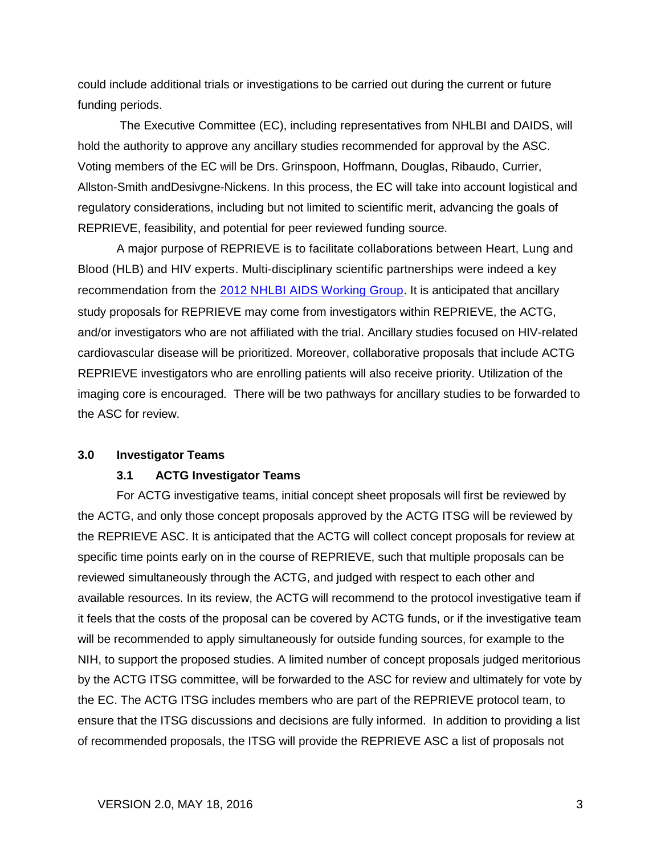could include additional trials or investigations to be carried out during the current or future funding periods.

The Executive Committee (EC), including representatives from NHLBI and DAIDS, will hold the authority to approve any ancillary studies recommended for approval by the ASC. Voting members of the EC will be Drs. Grinspoon, Hoffmann, Douglas, Ribaudo, Currier, Allston-Smith andDesivgne-Nickens. In this process, the EC will take into account logistical and regulatory considerations, including but not limited to scientific merit, advancing the goals of REPRIEVE, feasibility, and potential for peer reviewed funding source.

A major purpose of REPRIEVE is to facilitate collaborations between Heart, Lung and Blood (HLB) and HIV experts. Multi-disciplinary scientific partnerships were indeed a key recommendation from the [2012 NHLBI AIDS Working Group](https://www.nhlbi.nih.gov/research/reports/2012-aids-working-group.htm). It is anticipated that ancillary study proposals for REPRIEVE may come from investigators within REPRIEVE, the ACTG, and/or investigators who are not affiliated with the trial. Ancillary studies focused on HIV-related cardiovascular disease will be prioritized. Moreover, collaborative proposals that include ACTG REPRIEVE investigators who are enrolling patients will also receive priority. Utilization of the imaging core is encouraged. There will be two pathways for ancillary studies to be forwarded to the ASC for review.

#### <span id="page-3-0"></span>**3.0 Investigator Teams**

#### <span id="page-3-1"></span>**3.1 ACTG Investigator Teams**

For ACTG investigative teams, initial concept sheet proposals will first be reviewed by the ACTG, and only those concept proposals approved by the ACTG ITSG will be reviewed by the REPRIEVE ASC. It is anticipated that the ACTG will collect concept proposals for review at specific time points early on in the course of REPRIEVE, such that multiple proposals can be reviewed simultaneously through the ACTG, and judged with respect to each other and available resources. In its review, the ACTG will recommend to the protocol investigative team if it feels that the costs of the proposal can be covered by ACTG funds, or if the investigative team will be recommended to apply simultaneously for outside funding sources, for example to the NIH, to support the proposed studies. A limited number of concept proposals judged meritorious by the ACTG ITSG committee, will be forwarded to the ASC for review and ultimately for vote by the EC. The ACTG ITSG includes members who are part of the REPRIEVE protocol team, to ensure that the ITSG discussions and decisions are fully informed. In addition to providing a list of recommended proposals, the ITSG will provide the REPRIEVE ASC a list of proposals not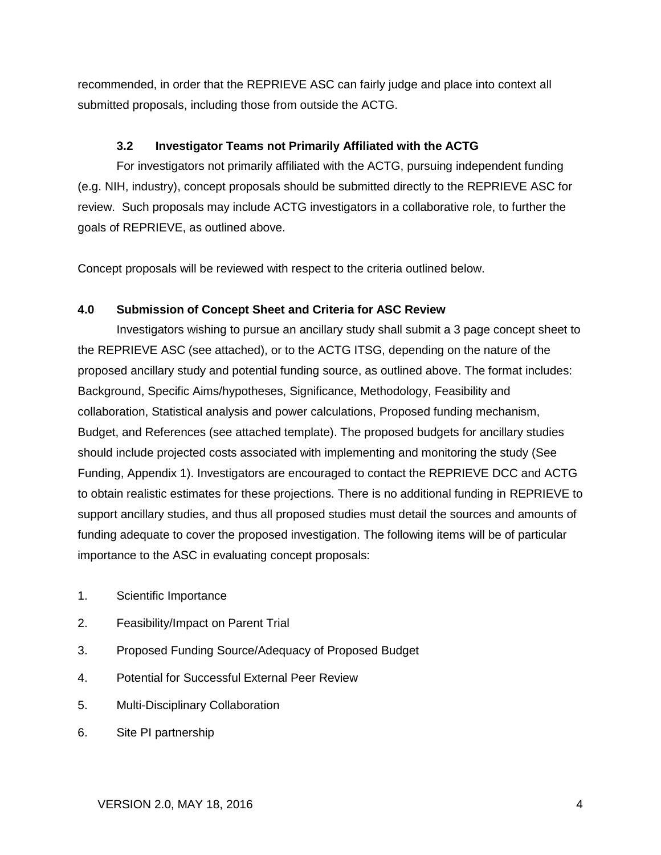recommended, in order that the REPRIEVE ASC can fairly judge and place into context all submitted proposals, including those from outside the ACTG.

## **3.2 Investigator Teams not Primarily Affiliated with the ACTG**

<span id="page-4-0"></span>For investigators not primarily affiliated with the ACTG, pursuing independent funding (e.g. NIH, industry), concept proposals should be submitted directly to the REPRIEVE ASC for review. Such proposals may include ACTG investigators in a collaborative role, to further the goals of REPRIEVE, as outlined above.

Concept proposals will be reviewed with respect to the criteria outlined below.

## <span id="page-4-1"></span>**4.0 Submission of Concept Sheet and Criteria for ASC Review**

Investigators wishing to pursue an ancillary study shall submit a 3 page concept sheet to the REPRIEVE ASC (see attached), or to the ACTG ITSG, depending on the nature of the proposed ancillary study and potential funding source, as outlined above. The format includes: Background, Specific Aims/hypotheses, Significance, Methodology, Feasibility and collaboration, Statistical analysis and power calculations, Proposed funding mechanism, Budget, and References (see attached template). The proposed budgets for ancillary studies should include projected costs associated with implementing and monitoring the study (See Funding, Appendix 1). Investigators are encouraged to contact the REPRIEVE DCC and ACTG to obtain realistic estimates for these projections. There is no additional funding in REPRIEVE to support ancillary studies, and thus all proposed studies must detail the sources and amounts of funding adequate to cover the proposed investigation. The following items will be of particular importance to the ASC in evaluating concept proposals:

- 1. Scientific Importance
- 2. Feasibility/Impact on Parent Trial
- 3. Proposed Funding Source/Adequacy of Proposed Budget
- 4. Potential for Successful External Peer Review
- 5. Multi-Disciplinary Collaboration
- 6. Site PI partnership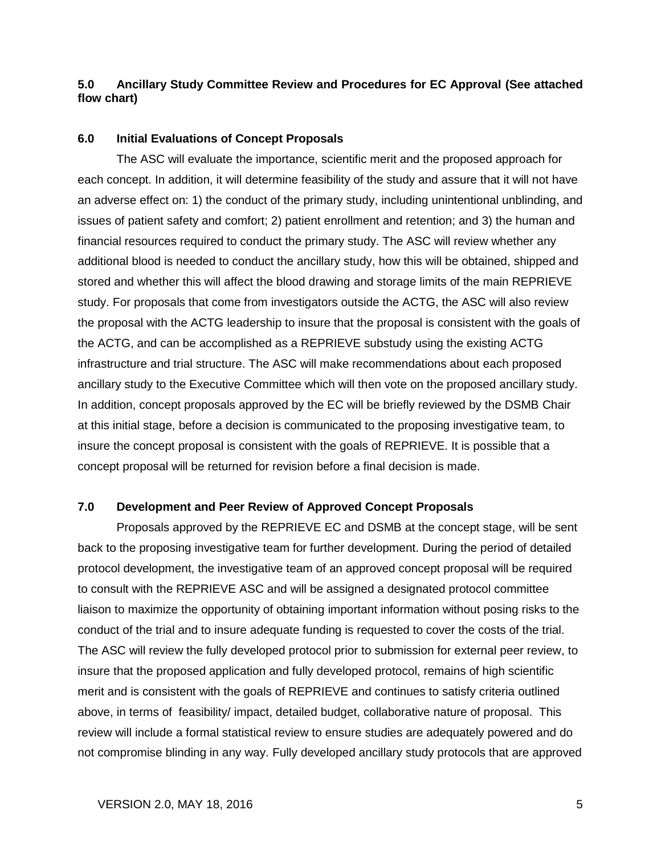## <span id="page-5-0"></span>**5.0 Ancillary Study Committee Review and Procedures for EC Approval (See attached flow chart)**

#### <span id="page-5-1"></span>**6.0 Initial Evaluations of Concept Proposals**

The ASC will evaluate the importance, scientific merit and the proposed approach for each concept. In addition, it will determine feasibility of the study and assure that it will not have an adverse effect on: 1) the conduct of the primary study, including unintentional unblinding, and issues of patient safety and comfort; 2) patient enrollment and retention; and 3) the human and financial resources required to conduct the primary study. The ASC will review whether any additional blood is needed to conduct the ancillary study, how this will be obtained, shipped and stored and whether this will affect the blood drawing and storage limits of the main REPRIEVE study. For proposals that come from investigators outside the ACTG, the ASC will also review the proposal with the ACTG leadership to insure that the proposal is consistent with the goals of the ACTG, and can be accomplished as a REPRIEVE substudy using the existing ACTG infrastructure and trial structure. The ASC will make recommendations about each proposed ancillary study to the Executive Committee which will then vote on the proposed ancillary study. In addition, concept proposals approved by the EC will be briefly reviewed by the DSMB Chair at this initial stage, before a decision is communicated to the proposing investigative team, to insure the concept proposal is consistent with the goals of REPRIEVE. It is possible that a concept proposal will be returned for revision before a final decision is made.

## <span id="page-5-2"></span>**7.0 Development and Peer Review of Approved Concept Proposals**

Proposals approved by the REPRIEVE EC and DSMB at the concept stage, will be sent back to the proposing investigative team for further development. During the period of detailed protocol development, the investigative team of an approved concept proposal will be required to consult with the REPRIEVE ASC and will be assigned a designated protocol committee liaison to maximize the opportunity of obtaining important information without posing risks to the conduct of the trial and to insure adequate funding is requested to cover the costs of the trial. The ASC will review the fully developed protocol prior to submission for external peer review, to insure that the proposed application and fully developed protocol, remains of high scientific merit and is consistent with the goals of REPRIEVE and continues to satisfy criteria outlined above, in terms of feasibility/ impact, detailed budget, collaborative nature of proposal. This review will include a formal statistical review to ensure studies are adequately powered and do not compromise blinding in any way. Fully developed ancillary study protocols that are approved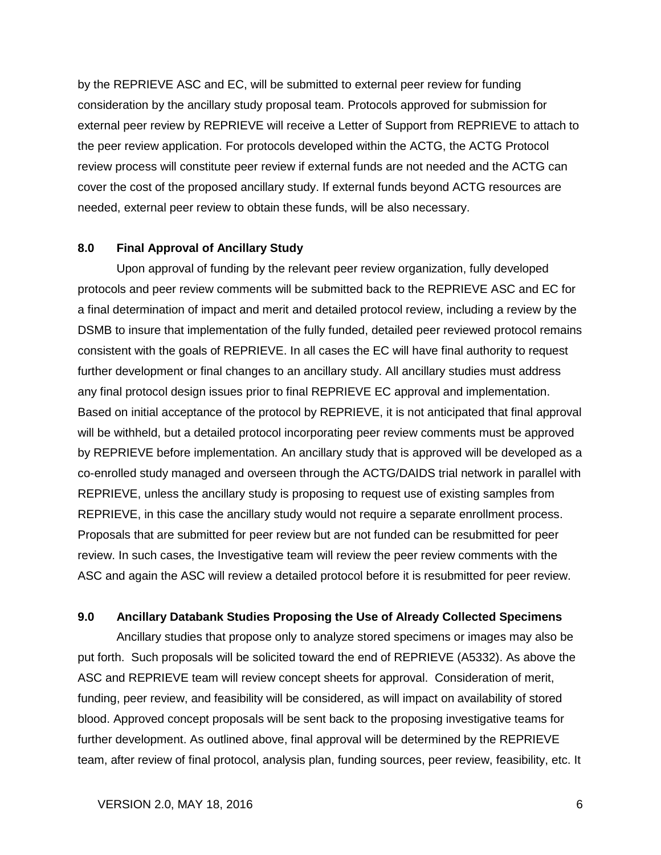by the REPRIEVE ASC and EC, will be submitted to external peer review for funding consideration by the ancillary study proposal team. Protocols approved for submission for external peer review by REPRIEVE will receive a Letter of Support from REPRIEVE to attach to the peer review application. For protocols developed within the ACTG, the ACTG Protocol review process will constitute peer review if external funds are not needed and the ACTG can cover the cost of the proposed ancillary study. If external funds beyond ACTG resources are needed, external peer review to obtain these funds, will be also necessary.

#### <span id="page-6-0"></span>**8.0 Final Approval of Ancillary Study**

Upon approval of funding by the relevant peer review organization, fully developed protocols and peer review comments will be submitted back to the REPRIEVE ASC and EC for a final determination of impact and merit and detailed protocol review, including a review by the DSMB to insure that implementation of the fully funded, detailed peer reviewed protocol remains consistent with the goals of REPRIEVE. In all cases the EC will have final authority to request further development or final changes to an ancillary study. All ancillary studies must address any final protocol design issues prior to final REPRIEVE EC approval and implementation. Based on initial acceptance of the protocol by REPRIEVE, it is not anticipated that final approval will be withheld, but a detailed protocol incorporating peer review comments must be approved by REPRIEVE before implementation. An ancillary study that is approved will be developed as a co-enrolled study managed and overseen through the ACTG/DAIDS trial network in parallel with REPRIEVE, unless the ancillary study is proposing to request use of existing samples from REPRIEVE, in this case the ancillary study would not require a separate enrollment process. Proposals that are submitted for peer review but are not funded can be resubmitted for peer review. In such cases, the Investigative team will review the peer review comments with the ASC and again the ASC will review a detailed protocol before it is resubmitted for peer review.

#### <span id="page-6-1"></span>**9.0 Ancillary Databank Studies Proposing the Use of Already Collected Specimens**

Ancillary studies that propose only to analyze stored specimens or images may also be put forth. Such proposals will be solicited toward the end of REPRIEVE (A5332). As above the ASC and REPRIEVE team will review concept sheets for approval. Consideration of merit, funding, peer review, and feasibility will be considered, as will impact on availability of stored blood. Approved concept proposals will be sent back to the proposing investigative teams for further development. As outlined above, final approval will be determined by the REPRIEVE team, after review of final protocol, analysis plan, funding sources, peer review, feasibility, etc. It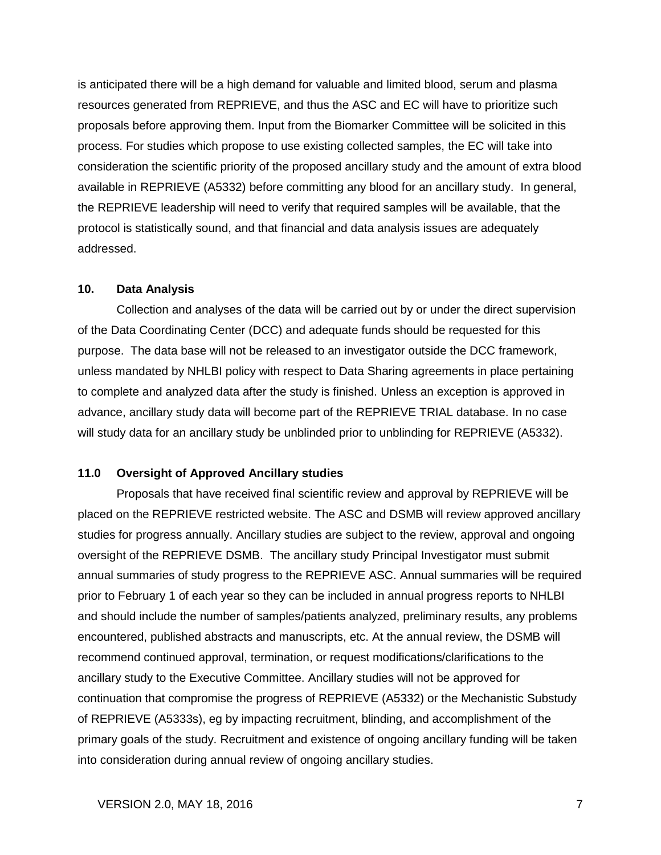is anticipated there will be a high demand for valuable and limited blood, serum and plasma resources generated from REPRIEVE, and thus the ASC and EC will have to prioritize such proposals before approving them. Input from the Biomarker Committee will be solicited in this process. For studies which propose to use existing collected samples, the EC will take into consideration the scientific priority of the proposed ancillary study and the amount of extra blood available in REPRIEVE (A5332) before committing any blood for an ancillary study. In general, the REPRIEVE leadership will need to verify that required samples will be available, that the protocol is statistically sound, and that financial and data analysis issues are adequately addressed.

#### <span id="page-7-0"></span>**10. Data Analysis**

Collection and analyses of the data will be carried out by or under the direct supervision of the Data Coordinating Center (DCC) and adequate funds should be requested for this purpose. The data base will not be released to an investigator outside the DCC framework, unless mandated by NHLBI policy with respect to Data Sharing agreements in place pertaining to complete and analyzed data after the study is finished. Unless an exception is approved in advance, ancillary study data will become part of the REPRIEVE TRIAL database. In no case will study data for an ancillary study be unblinded prior to unblinding for REPRIEVE (A5332).

#### <span id="page-7-1"></span>**11.0 Oversight of Approved Ancillary studies**

Proposals that have received final scientific review and approval by REPRIEVE will be placed on the REPRIEVE restricted website. The ASC and DSMB will review approved ancillary studies for progress annually. Ancillary studies are subject to the review, approval and ongoing oversight of the REPRIEVE DSMB. The ancillary study Principal Investigator must submit annual summaries of study progress to the REPRIEVE ASC. Annual summaries will be required prior to February 1 of each year so they can be included in annual progress reports to NHLBI and should include the number of samples/patients analyzed, preliminary results, any problems encountered, published abstracts and manuscripts, etc. At the annual review, the DSMB will recommend continued approval, termination, or request modifications/clarifications to the ancillary study to the Executive Committee. Ancillary studies will not be approved for continuation that compromise the progress of REPRIEVE (A5332) or the Mechanistic Substudy of REPRIEVE (A5333s), eg by impacting recruitment, blinding, and accomplishment of the primary goals of the study. Recruitment and existence of ongoing ancillary funding will be taken into consideration during annual review of ongoing ancillary studies.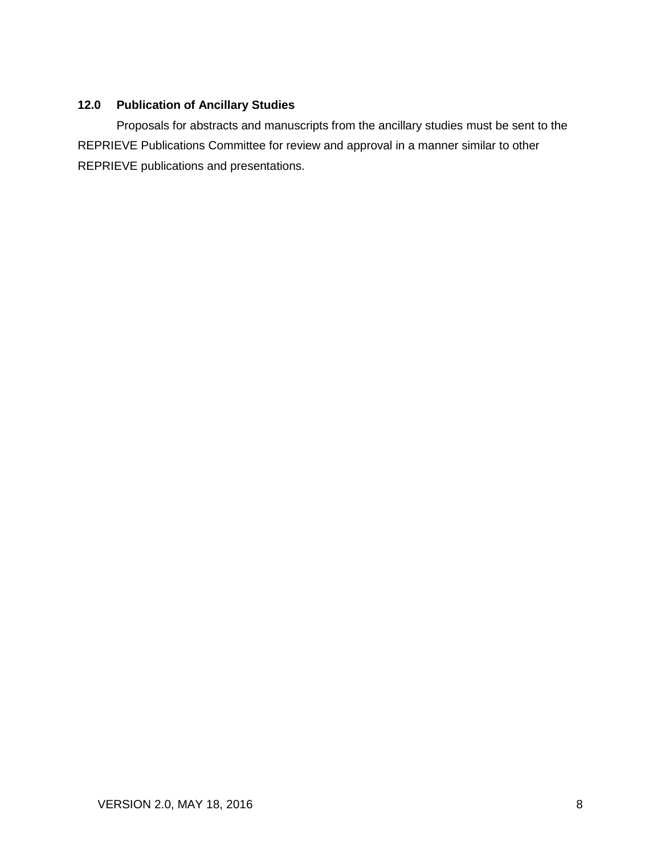## <span id="page-8-0"></span>**12.0 Publication of Ancillary Studies**

Proposals for abstracts and manuscripts from the ancillary studies must be sent to the REPRIEVE Publications Committee for review and approval in a manner similar to other REPRIEVE publications and presentations.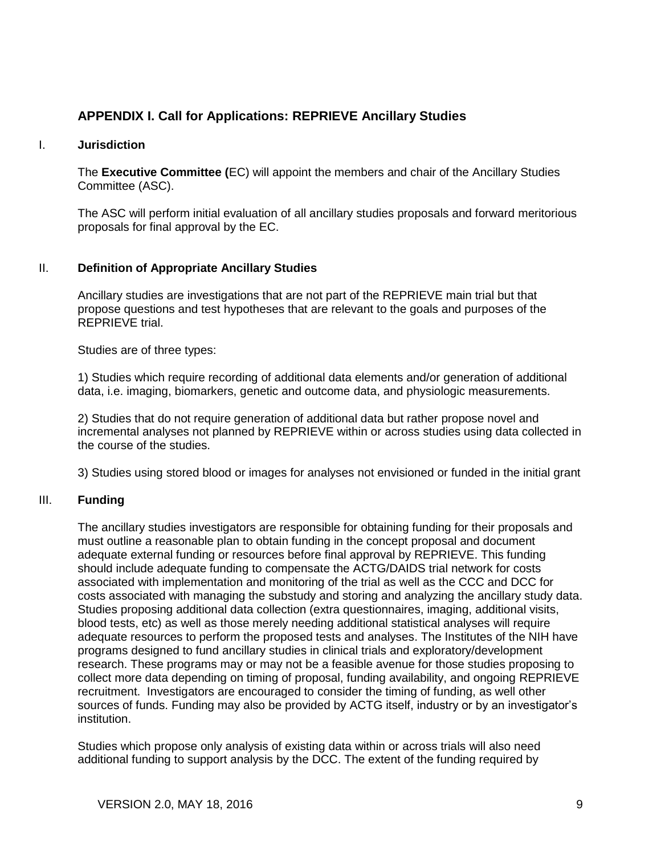## <span id="page-9-0"></span>**APPENDIX I. Call for Applications: REPRIEVE Ancillary Studies**

#### I. **Jurisdiction**

The **Executive Committee (**EC) will appoint the members and chair of the Ancillary Studies Committee (ASC).

The ASC will perform initial evaluation of all ancillary studies proposals and forward meritorious proposals for final approval by the EC.

#### II. **Definition of Appropriate Ancillary Studies**

Ancillary studies are investigations that are not part of the REPRIEVE main trial but that propose questions and test hypotheses that are relevant to the goals and purposes of the REPRIEVE trial.

Studies are of three types:

1) Studies which require recording of additional data elements and/or generation of additional data, i.e. imaging, biomarkers, genetic and outcome data, and physiologic measurements.

2) Studies that do not require generation of additional data but rather propose novel and incremental analyses not planned by REPRIEVE within or across studies using data collected in the course of the studies.

3) Studies using stored blood or images for analyses not envisioned or funded in the initial grant

#### III. **Funding**

The ancillary studies investigators are responsible for obtaining funding for their proposals and must outline a reasonable plan to obtain funding in the concept proposal and document adequate external funding or resources before final approval by REPRIEVE. This funding should include adequate funding to compensate the ACTG/DAIDS trial network for costs associated with implementation and monitoring of the trial as well as the CCC and DCC for costs associated with managing the substudy and storing and analyzing the ancillary study data. Studies proposing additional data collection (extra questionnaires, imaging, additional visits, blood tests, etc) as well as those merely needing additional statistical analyses will require adequate resources to perform the proposed tests and analyses. The Institutes of the NIH have programs designed to fund ancillary studies in clinical trials and exploratory/development research. These programs may or may not be a feasible avenue for those studies proposing to collect more data depending on timing of proposal, funding availability, and ongoing REPRIEVE recruitment. Investigators are encouraged to consider the timing of funding, as well other sources of funds. Funding may also be provided by ACTG itself, industry or by an investigator's institution.

Studies which propose only analysis of existing data within or across trials will also need additional funding to support analysis by the DCC. The extent of the funding required by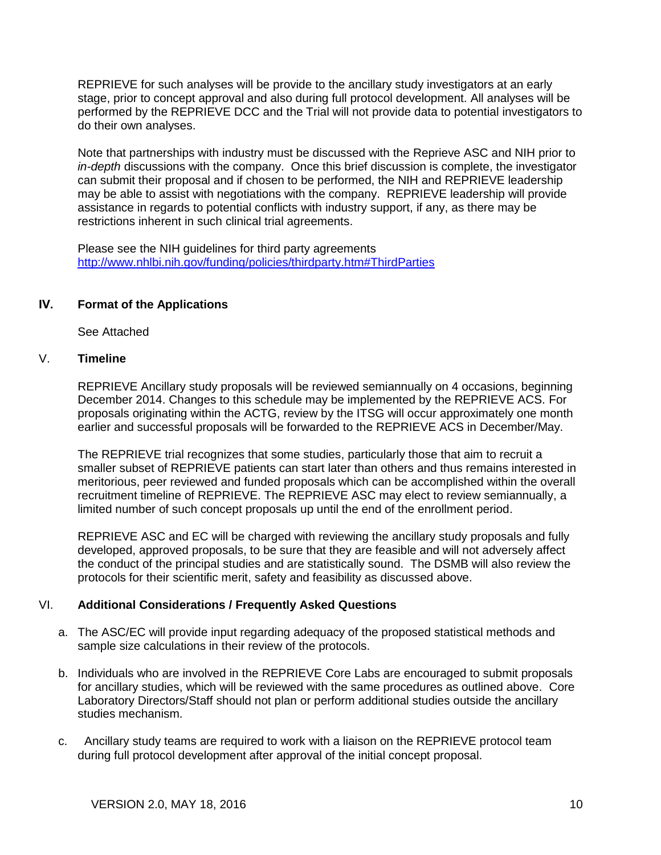REPRIEVE for such analyses will be provide to the ancillary study investigators at an early stage, prior to concept approval and also during full protocol development. All analyses will be performed by the REPRIEVE DCC and the Trial will not provide data to potential investigators to do their own analyses.

Note that partnerships with industry must be discussed with the Reprieve ASC and NIH prior to *in-depth* discussions with the company. Once this brief discussion is complete, the investigator can submit their proposal and if chosen to be performed, the NIH and REPRIEVE leadership may be able to assist with negotiations with the company. REPRIEVE leadership will provide assistance in regards to potential conflicts with industry support, if any, as there may be restrictions inherent in such clinical trial agreements.

Please see the NIH guidelines for third party agreements [http://www.nhlbi.nih.gov/funding/policies/thirdparty.htm#ThirdParties](http://www.nhlbi.nih.gov/funding/policies/thirdparty.htm)

## **IV. Format of the Applications**

See Attached

## V. **Timeline**

REPRIEVE Ancillary study proposals will be reviewed semiannually on 4 occasions, beginning December 2014. Changes to this schedule may be implemented by the REPRIEVE ACS. For proposals originating within the ACTG, review by the ITSG will occur approximately one month earlier and successful proposals will be forwarded to the REPRIEVE ACS in December/May.

The REPRIEVE trial recognizes that some studies, particularly those that aim to recruit a smaller subset of REPRIEVE patients can start later than others and thus remains interested in meritorious, peer reviewed and funded proposals which can be accomplished within the overall recruitment timeline of REPRIEVE. The REPRIEVE ASC may elect to review semiannually, a limited number of such concept proposals up until the end of the enrollment period.

REPRIEVE ASC and EC will be charged with reviewing the ancillary study proposals and fully developed, approved proposals, to be sure that they are feasible and will not adversely affect the conduct of the principal studies and are statistically sound. The DSMB will also review the protocols for their scientific merit, safety and feasibility as discussed above.

## VI. **Additional Considerations / Frequently Asked Questions**

- a. The ASC/EC will provide input regarding adequacy of the proposed statistical methods and sample size calculations in their review of the protocols.
- b. Individuals who are involved in the REPRIEVE Core Labs are encouraged to submit proposals for ancillary studies, which will be reviewed with the same procedures as outlined above. Core Laboratory Directors/Staff should not plan or perform additional studies outside the ancillary studies mechanism.
- c. Ancillary study teams are required to work with a liaison on the REPRIEVE protocol team during full protocol development after approval of the initial concept proposal.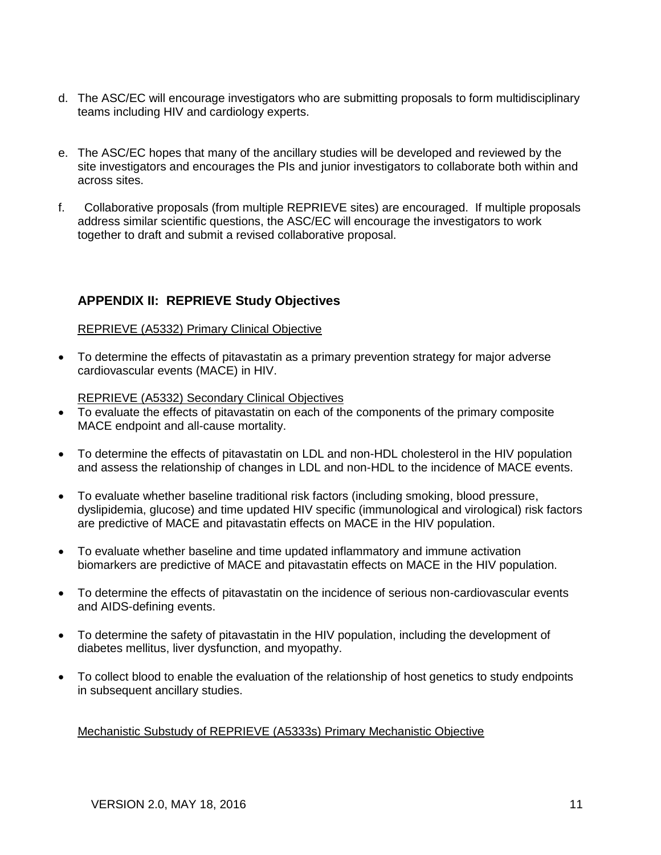- d. The ASC/EC will encourage investigators who are submitting proposals to form multidisciplinary teams including HIV and cardiology experts.
- e. The ASC/EC hopes that many of the ancillary studies will be developed and reviewed by the site investigators and encourages the PIs and junior investigators to collaborate both within and across sites.
- f. Collaborative proposals (from multiple REPRIEVE sites) are encouraged. If multiple proposals address similar scientific questions, the ASC/EC will encourage the investigators to work together to draft and submit a revised collaborative proposal.

## <span id="page-11-0"></span>**APPENDIX II: REPRIEVE Study Objectives**

## REPRIEVE (A5332) Primary Clinical Objective

 To determine the effects of pitavastatin as a primary prevention strategy for major adverse cardiovascular events (MACE) in HIV.

REPRIEVE (A5332) Secondary Clinical Objectives

- To evaluate the effects of pitavastatin on each of the components of the primary composite MACE endpoint and all-cause mortality.
- To determine the effects of pitavastatin on LDL and non-HDL cholesterol in the HIV population and assess the relationship of changes in LDL and non-HDL to the incidence of MACE events.
- To evaluate whether baseline traditional risk factors (including smoking, blood pressure, dyslipidemia, glucose) and time updated HIV specific (immunological and virological) risk factors are predictive of MACE and pitavastatin effects on MACE in the HIV population.
- To evaluate whether baseline and time updated inflammatory and immune activation biomarkers are predictive of MACE and pitavastatin effects on MACE in the HIV population.
- To determine the effects of pitavastatin on the incidence of serious non-cardiovascular events and AIDS-defining events.
- To determine the safety of pitavastatin in the HIV population, including the development of diabetes mellitus, liver dysfunction, and myopathy.
- To collect blood to enable the evaluation of the relationship of host genetics to study endpoints in subsequent ancillary studies.

Mechanistic Substudy of REPRIEVE (A5333s) Primary Mechanistic Objective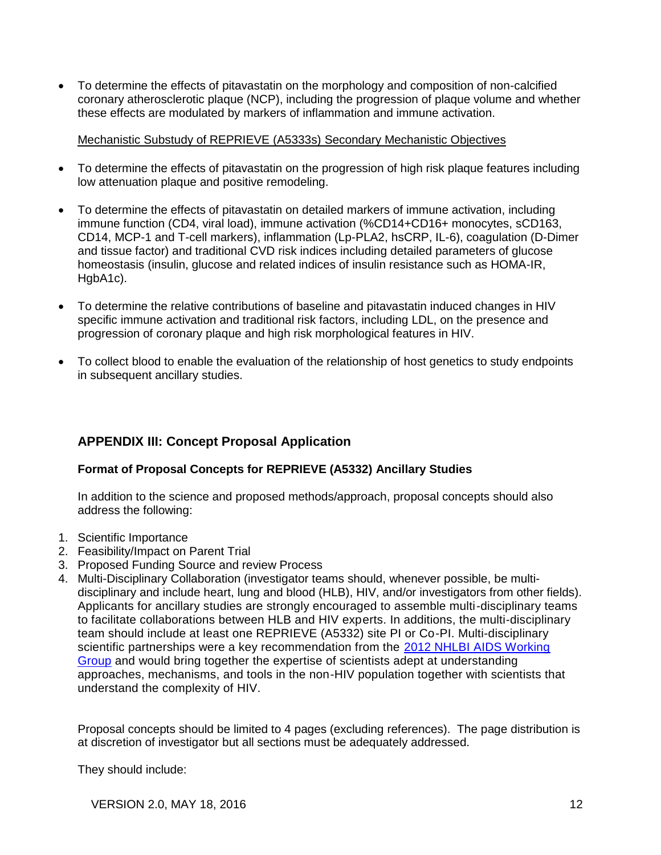To determine the effects of pitavastatin on the morphology and composition of non-calcified coronary atherosclerotic plaque (NCP), including the progression of plaque volume and whether these effects are modulated by markers of inflammation and immune activation.

## Mechanistic Substudy of REPRIEVE (A5333s) Secondary Mechanistic Objectives

- To determine the effects of pitavastatin on the progression of high risk plaque features including low attenuation plaque and positive remodeling.
- To determine the effects of pitavastatin on detailed markers of immune activation, including immune function (CD4, viral load), immune activation (%CD14+CD16+ monocytes, sCD163, CD14, MCP-1 and T-cell markers), inflammation (Lp-PLA2, hsCRP, IL-6), coagulation (D-Dimer and tissue factor) and traditional CVD risk indices including detailed parameters of glucose homeostasis (insulin, glucose and related indices of insulin resistance such as HOMA-IR, HgbA1c).
- To determine the relative contributions of baseline and pitavastatin induced changes in HIV specific immune activation and traditional risk factors, including LDL, on the presence and progression of coronary plaque and high risk morphological features in HIV.
- To collect blood to enable the evaluation of the relationship of host genetics to study endpoints in subsequent ancillary studies.

## <span id="page-12-0"></span>**APPENDIX III: Concept Proposal Application**

## **Format of Proposal Concepts for REPRIEVE (A5332) Ancillary Studies**

In addition to the science and proposed methods/approach, proposal concepts should also address the following:

- 1. Scientific Importance
- 2. Feasibility/Impact on Parent Trial
- 3. Proposed Funding Source and review Process
- 4. Multi-Disciplinary Collaboration (investigator teams should, whenever possible, be multidisciplinary and include heart, lung and blood (HLB), HIV, and/or investigators from other fields). Applicants for ancillary studies are strongly encouraged to assemble multi-disciplinary teams to facilitate collaborations between HLB and HIV experts. In additions, the multi-disciplinary team should include at least one REPRIEVE (A5332) site PI or Co-PI. Multi-disciplinary scientific partnerships were a key recommendation from the [2012 NHLBI AIDS Working](https://www.nhlbi.nih.gov/research/reports/2012-aids-working-group.htm)  [Group](https://www.nhlbi.nih.gov/research/reports/2012-aids-working-group.htm) and would bring together the expertise of scientists adept at understanding approaches, mechanisms, and tools in the non-HIV population together with scientists that understand the complexity of HIV.

Proposal concepts should be limited to 4 pages (excluding references). The page distribution is at discretion of investigator but all sections must be adequately addressed.

They should include:

VERSION 2.0, MAY 18, 2016 12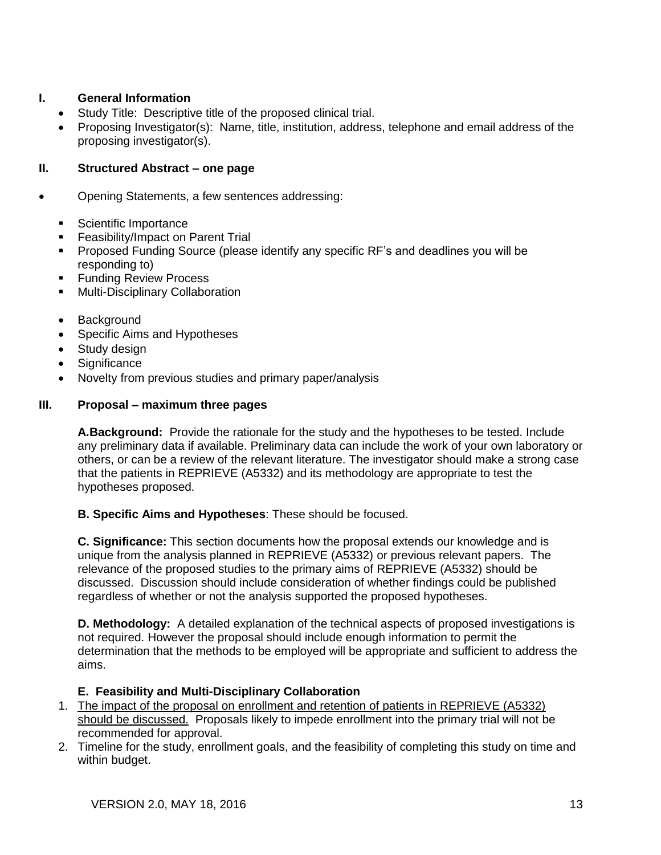## **I. General Information**

- Study Title: Descriptive title of the proposed clinical trial.
- Proposing Investigator(s): Name, title, institution, address, telephone and email address of the proposing investigator(s).

## **II. Structured Abstract – one page**

- Opening Statements, a few sentences addressing:
	- **Scientific Importance**
	- **Feasibility/Impact on Parent Trial**
	- Proposed Funding Source (please identify any specific RF's and deadlines you will be responding to)
	- Funding Review Process
	- Multi-Disciplinary Collaboration
	- Background
	- Specific Aims and Hypotheses
	- Study design
	- Significance
	- Novelty from previous studies and primary paper/analysis

## **III. Proposal – maximum three pages**

**A.Background:** Provide the rationale for the study and the hypotheses to be tested. Include any preliminary data if available. Preliminary data can include the work of your own laboratory or others, or can be a review of the relevant literature. The investigator should make a strong case that the patients in REPRIEVE (A5332) and its methodology are appropriate to test the hypotheses proposed.

**B. Specific Aims and Hypotheses**: These should be focused.

**C. Significance:** This section documents how the proposal extends our knowledge and is unique from the analysis planned in REPRIEVE (A5332) or previous relevant papers. The relevance of the proposed studies to the primary aims of REPRIEVE (A5332) should be discussed. Discussion should include consideration of whether findings could be published regardless of whether or not the analysis supported the proposed hypotheses.

**D. Methodology:** A detailed explanation of the technical aspects of proposed investigations is not required. However the proposal should include enough information to permit the determination that the methods to be employed will be appropriate and sufficient to address the aims.

## **E. Feasibility and Multi-Disciplinary Collaboration**

- 1. The impact of the proposal on enrollment and retention of patients in REPRIEVE (A5332) should be discussed. Proposals likely to impede enrollment into the primary trial will not be recommended for approval.
- 2. Timeline for the study, enrollment goals, and the feasibility of completing this study on time and within budget.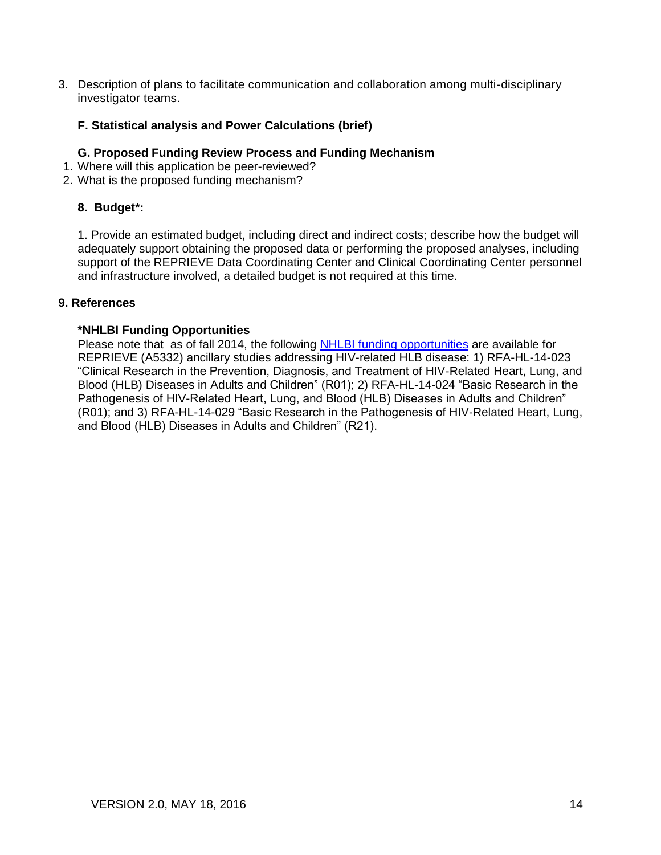3. Description of plans to facilitate communication and collaboration among multi-disciplinary investigator teams.

## **F. Statistical analysis and Power Calculations (brief)**

## **G. Proposed Funding Review Process and Funding Mechanism**

- 1. Where will this application be peer-reviewed?
- 2. What is the proposed funding mechanism?

## **8. Budget\*:**

1. Provide an estimated budget, including direct and indirect costs; describe how the budget will adequately support obtaining the proposed data or performing the proposed analyses, including support of the REPRIEVE Data Coordinating Center and Clinical Coordinating Center personnel and infrastructure involved, a detailed budget is not required at this time.

#### **9. References**

#### **\*NHLBI Funding Opportunities**

Please note that as of fall 2014, the following [NHLBI funding opportunities](http://www.nhlbi.nih.gov/research/funding/aids/) are available for REPRIEVE (A5332) ancillary studies addressing HIV-related HLB disease: 1) [RFA-HL-14-023](http://grants1.nih.gov/grants/guide/rfa-files/RFA-HL-14-023.html)  ["Clinical Research in the Prevention, Diagnosis, and Treatment of HIV-Related Heart, Lung, and](http://grants1.nih.gov/grants/guide/rfa-files/RFA-HL-14-023.html)  [Blood \(HLB\) Diseases in Adults and](http://grants1.nih.gov/grants/guide/rfa-files/RFA-HL-14-023.html) Children" (R01); 2) [RFA-HL-14-024 "Basic Research in the](http://grants1.nih.gov/grants/guide/rfa-files/RFA-HL-14-024.html)  [Pathogenesis of HIV-Related Heart, Lung, and Blood \(HLB\) Diseases in Adults and Children"](http://grants1.nih.gov/grants/guide/rfa-files/RFA-HL-14-024.html)  [\(R01\);](http://grants1.nih.gov/grants/guide/rfa-files/RFA-HL-14-024.html) and 3) [RFA-HL-14-029 "Basic Research in the Pathogenesis of HIV-Related Heart, Lung,](http://grants1.nih.gov/grants/guide/rfa-files/RFA-HL-14-029.html)  [and Blood \(HLB\) Diseases in Adults and Children" \(R21\).](http://grants1.nih.gov/grants/guide/rfa-files/RFA-HL-14-029.html)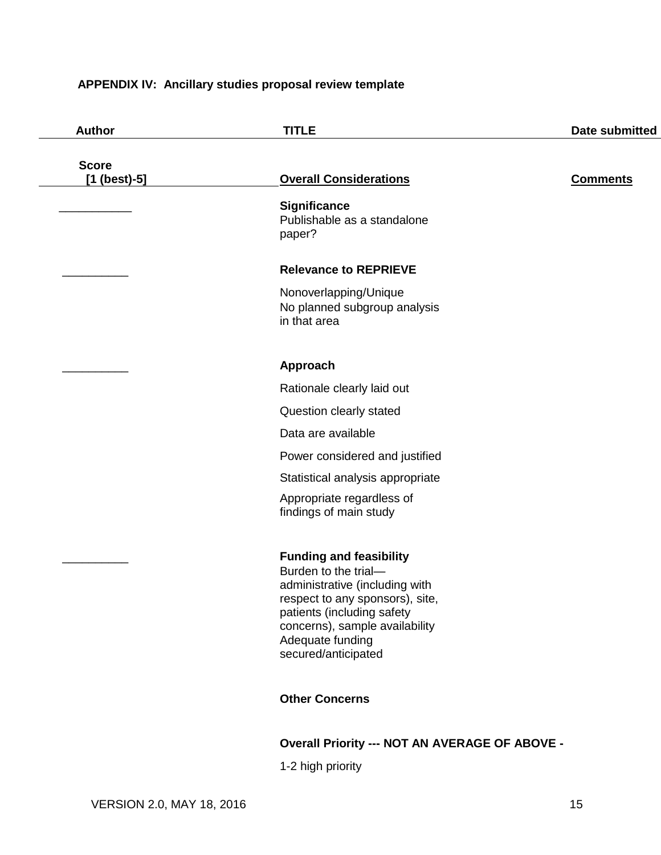## <span id="page-15-0"></span>**APPENDIX IV: Ancillary studies proposal review template**

| <b>Author</b>                  | <b>TITLE</b>                                                                                                                                                                                                                           | Date submitted  |
|--------------------------------|----------------------------------------------------------------------------------------------------------------------------------------------------------------------------------------------------------------------------------------|-----------------|
| <b>Score</b><br>$[1 (best)-5]$ | <b>Overall Considerations</b>                                                                                                                                                                                                          | <b>Comments</b> |
|                                | <b>Significance</b><br>Publishable as a standalone<br>paper?                                                                                                                                                                           |                 |
|                                | <b>Relevance to REPRIEVE</b>                                                                                                                                                                                                           |                 |
|                                | Nonoverlapping/Unique<br>No planned subgroup analysis<br>in that area                                                                                                                                                                  |                 |
|                                | Approach                                                                                                                                                                                                                               |                 |
|                                | Rationale clearly laid out                                                                                                                                                                                                             |                 |
|                                | Question clearly stated                                                                                                                                                                                                                |                 |
|                                | Data are available                                                                                                                                                                                                                     |                 |
|                                | Power considered and justified                                                                                                                                                                                                         |                 |
|                                | Statistical analysis appropriate                                                                                                                                                                                                       |                 |
|                                | Appropriate regardless of<br>findings of main study                                                                                                                                                                                    |                 |
|                                | <b>Funding and feasibility</b><br>Burden to the trial-<br>administrative (including with<br>respect to any sponsors), site,<br>patients (including safety<br>concerns), sample availability<br>Adequate funding<br>secured/anticipated |                 |
|                                | <b>Other Concerns</b>                                                                                                                                                                                                                  |                 |
|                                | <b>Overall Priority --- NOT AN AVERAGE OF ABOVE -</b>                                                                                                                                                                                  |                 |

1-2 high priority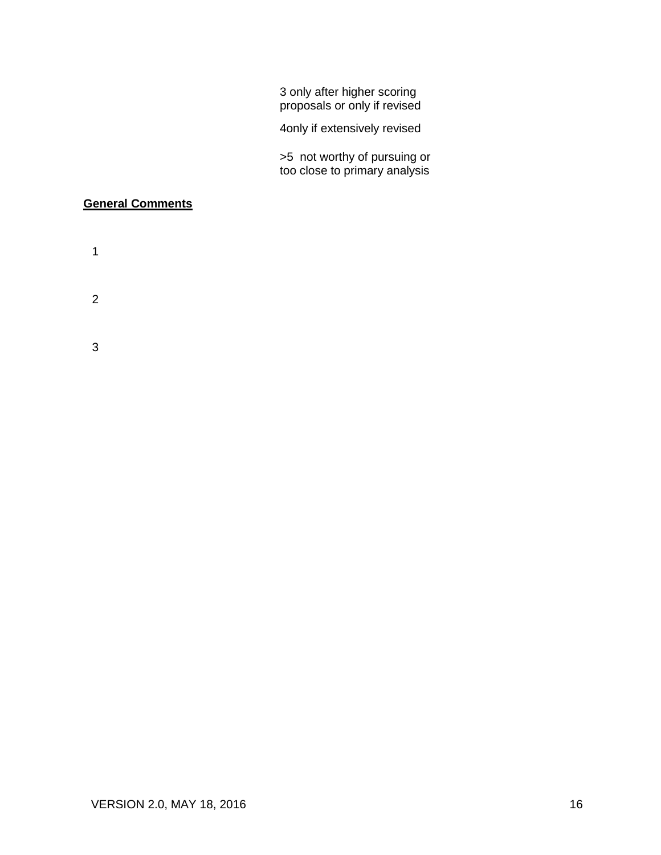3 only after higher scoring proposals or only if revised

4only if extensively revised

>5 not worthy of pursuing or too close to primary analysis

## **General Comments**

- 1
- 
- 2
- 
- 3